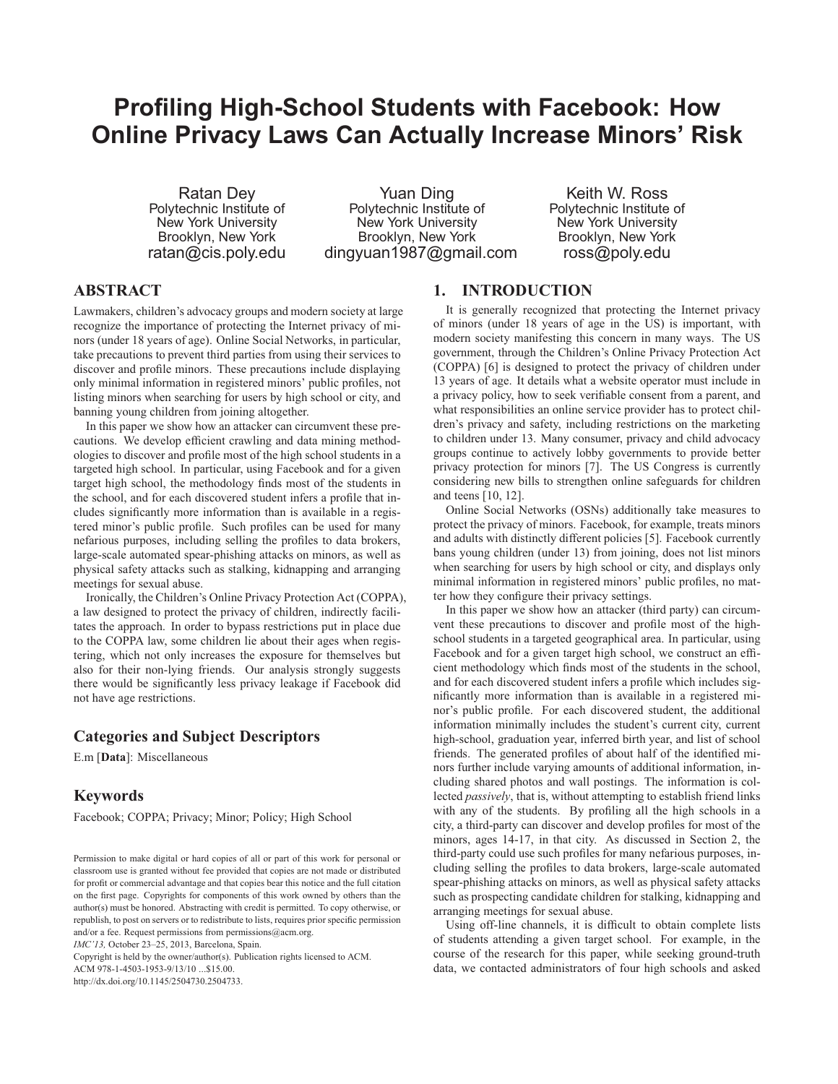# **Profiling High-School Students with Facebook: How Online Privacy Laws Can Actually Increase Minors' Risk**

Ratan Dey Polytechnic Institute of New York University Brooklyn, New York ratan@cis.poly.edu

Yuan Ding Polytechnic Institute of New York University Brooklyn, New York dingyuan1987@gmail.com

Keith W. Ross Polytechnic Institute of New York University Brooklyn, New York ross@poly.edu

# **ABSTRACT**

Lawmakers, children's advocacy groups and modern society at large recognize the importance of protecting the Internet privacy of minors (under 18 years of age). Online Social Networks, in particular, take precautions to prevent third parties from using their services to discover and profile minors. These precautions include displaying only minimal information in registered minors' public profiles, not listing minors when searching for users by high school or city, and banning young children from joining altogether.

In this paper we show how an attacker can circumvent these precautions. We develop efficient crawling and data mining methodologies to discover and profile most of the high school students in a targeted high school. In particular, using Facebook and for a given target high school, the methodology finds most of the students in the school, and for each discovered student infers a profile that includes significantly more information than is available in a registered minor's public profile. Such profiles can be used for many nefarious purposes, including selling the profiles to data brokers, large-scale automated spear-phishing attacks on minors, as well as physical safety attacks such as stalking, kidnapping and arranging meetings for sexual abuse.

Ironically, the Children's Online Privacy Protection Act (COPPA), a law designed to protect the privacy of children, indirectly facilitates the approach. In order to bypass restrictions put in place due to the COPPA law, some children lie about their ages when registering, which not only increases the exposure for themselves but also for their non-lying friends. Our analysis strongly suggests there would be significantly less privacy leakage if Facebook did not have age restrictions.

# **Categories and Subject Descriptors**

E.m [**Data**]: Miscellaneous

# **Keywords**

Facebook; COPPA; Privacy; Minor; Policy; High School

Copyright is held by the owner/author(s). Publication rights licensed to ACM.

ACM 978-1-4503-1953-9/13/10 ...\$15.00.

http://dx.doi.org/10.1145/2504730.2504733.

# **1. INTRODUCTION**

It is generally recognized that protecting the Internet privacy of minors (under 18 years of age in the US) is important, with modern society manifesting this concern in many ways. The US government, through the Children's Online Privacy Protection Act (COPPA) [6] is designed to protect the privacy of children under 13 years of age. It details what a website operator must include in a privacy policy, how to seek verifiable consent from a parent, and what responsibilities an online service provider has to protect children's privacy and safety, including restrictions on the marketing to children under 13. Many consumer, privacy and child advocacy groups continue to actively lobby governments to provide better privacy protection for minors [7]. The US Congress is currently considering new bills to strengthen online safeguards for children and teens [10, 12].

Online Social Networks (OSNs) additionally take measures to protect the privacy of minors. Facebook, for example, treats minors and adults with distinctly different policies [5]. Facebook currently bans young children (under 13) from joining, does not list minors when searching for users by high school or city, and displays only minimal information in registered minors' public profiles, no matter how they configure their privacy settings.

In this paper we show how an attacker (third party) can circumvent these precautions to discover and profile most of the highschool students in a targeted geographical area. In particular, using Facebook and for a given target high school, we construct an efficient methodology which finds most of the students in the school, and for each discovered student infers a profile which includes significantly more information than is available in a registered minor's public profile. For each discovered student, the additional information minimally includes the student's current city, current high-school, graduation year, inferred birth year, and list of school friends. The generated profiles of about half of the identified minors further include varying amounts of additional information, including shared photos and wall postings. The information is collected *passively*, that is, without attempting to establish friend links with any of the students. By profiling all the high schools in a city, a third-party can discover and develop profiles for most of the minors, ages 14-17, in that city. As discussed in Section 2, the third-party could use such profiles for many nefarious purposes, including selling the profiles to data brokers, large-scale automated spear-phishing attacks on minors, as well as physical safety attacks such as prospecting candidate children for stalking, kidnapping and arranging meetings for sexual abuse.

Using off-line channels, it is difficult to obtain complete lists of students attending a given target school. For example, in the course of the research for this paper, while seeking ground-truth data, we contacted administrators of four high schools and asked

Permission to make digital or hard copies of all or part of this work for personal or classroom use is granted without fee provided that copies are not made or distributed for profit or commercial advantage and that copies bear this notice and the full citation on the first page. Copyrights for components of this work owned by others than the author(s) must be honored. Abstracting with credit is permitted. To copy otherwise, or republish, to post on servers or to redistribute to lists, requires prior specific permission and/or a fee. Request permissions from permissions@acm.org.

*IMC'13,* October 23–25, 2013, Barcelona, Spain.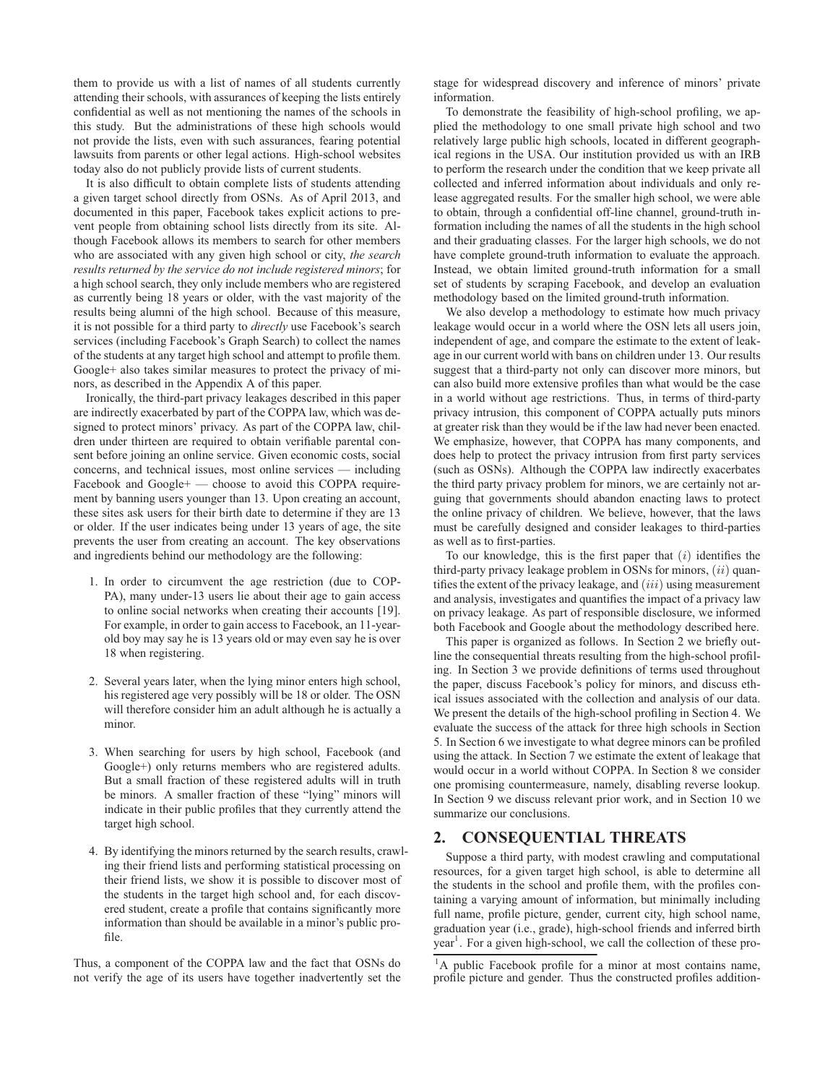them to provide us with a list of names of all students currently attending their schools, with assurances of keeping the lists entirely confidential as well as not mentioning the names of the schools in this study. But the administrations of these high schools would not provide the lists, even with such assurances, fearing potential lawsuits from parents or other legal actions. High-school websites today also do not publicly provide lists of current students.

It is also difficult to obtain complete lists of students attending a given target school directly from OSNs. As of April 2013, and documented in this paper, Facebook takes explicit actions to prevent people from obtaining school lists directly from its site. Although Facebook allows its members to search for other members who are associated with any given high school or city, *the search results returned by the service do not include registered minors*; for a high school search, they only include members who are registered as currently being 18 years or older, with the vast majority of the results being alumni of the high school. Because of this measure, it is not possible for a third party to *directly* use Facebook's search services (including Facebook's Graph Search) to collect the names of the students at any target high school and attempt to profile them. Google+ also takes similar measures to protect the privacy of minors, as described in the Appendix A of this paper.

Ironically, the third-part privacy leakages described in this paper are indirectly exacerbated by part of the COPPA law, which was designed to protect minors' privacy. As part of the COPPA law, children under thirteen are required to obtain verifiable parental consent before joining an online service. Given economic costs, social concerns, and technical issues, most online services — including Facebook and Google+ — choose to avoid this COPPA requirement by banning users younger than 13. Upon creating an account, these sites ask users for their birth date to determine if they are 13 or older. If the user indicates being under 13 years of age, the site prevents the user from creating an account. The key observations and ingredients behind our methodology are the following:

- 1. In order to circumvent the age restriction (due to COP-PA), many under-13 users lie about their age to gain access to online social networks when creating their accounts [19]. For example, in order to gain access to Facebook, an 11-yearold boy may say he is 13 years old or may even say he is over 18 when registering.
- 2. Several years later, when the lying minor enters high school, his registered age very possibly will be 18 or older. The OSN will therefore consider him an adult although he is actually a minor.
- 3. When searching for users by high school, Facebook (and Google+) only returns members who are registered adults. But a small fraction of these registered adults will in truth be minors. A smaller fraction of these "lying" minors will indicate in their public profiles that they currently attend the target high school.
- 4. By identifying the minors returned by the search results, crawling their friend lists and performing statistical processing on their friend lists, we show it is possible to discover most of the students in the target high school and, for each discovered student, create a profile that contains significantly more information than should be available in a minor's public profile.

Thus, a component of the COPPA law and the fact that OSNs do not verify the age of its users have together inadvertently set the stage for widespread discovery and inference of minors' private information.

To demonstrate the feasibility of high-school profiling, we applied the methodology to one small private high school and two relatively large public high schools, located in different geographical regions in the USA. Our institution provided us with an IRB to perform the research under the condition that we keep private all collected and inferred information about individuals and only release aggregated results. For the smaller high school, we were able to obtain, through a confidential off-line channel, ground-truth information including the names of all the students in the high school and their graduating classes. For the larger high schools, we do not have complete ground-truth information to evaluate the approach. Instead, we obtain limited ground-truth information for a small set of students by scraping Facebook, and develop an evaluation methodology based on the limited ground-truth information.

We also develop a methodology to estimate how much privacy leakage would occur in a world where the OSN lets all users join, independent of age, and compare the estimate to the extent of leakage in our current world with bans on children under 13. Our results suggest that a third-party not only can discover more minors, but can also build more extensive profiles than what would be the case in a world without age restrictions. Thus, in terms of third-party privacy intrusion, this component of COPPA actually puts minors at greater risk than they would be if the law had never been enacted. We emphasize, however, that COPPA has many components, and does help to protect the privacy intrusion from first party services (such as OSNs). Although the COPPA law indirectly exacerbates the third party privacy problem for minors, we are certainly not arguing that governments should abandon enacting laws to protect the online privacy of children. We believe, however, that the laws must be carefully designed and consider leakages to third-parties as well as to first-parties.

To our knowledge, this is the first paper that  $(i)$  identifies the third-party privacy leakage problem in OSNs for minors,  $(ii)$  quantifies the extent of the privacy leakage, and  $(iii)$  using measurement and analysis, investigates and quantifies the impact of a privacy law on privacy leakage. As part of responsible disclosure, we informed both Facebook and Google about the methodology described here.

This paper is organized as follows. In Section 2 we briefly outline the consequential threats resulting from the high-school profiling. In Section 3 we provide definitions of terms used throughout the paper, discuss Facebook's policy for minors, and discuss ethical issues associated with the collection and analysis of our data. We present the details of the high-school profiling in Section 4. We evaluate the success of the attack for three high schools in Section 5. In Section 6 we investigate to what degree minors can be profiled using the attack. In Section 7 we estimate the extent of leakage that would occur in a world without COPPA. In Section 8 we consider one promising countermeasure, namely, disabling reverse lookup. In Section 9 we discuss relevant prior work, and in Section 10 we summarize our conclusions.

# **2. CONSEQUENTIAL THREATS**

Suppose a third party, with modest crawling and computational resources, for a given target high school, is able to determine all the students in the school and profile them, with the profiles containing a varying amount of information, but minimally including full name, profile picture, gender, current city, high school name, graduation year (i.e., grade), high-school friends and inferred birth year<sup>1</sup>. For a given high-school, we call the collection of these pro-

 ${}^{1}$ A public Facebook profile for a minor at most contains name, profile picture and gender. Thus the constructed profiles addition-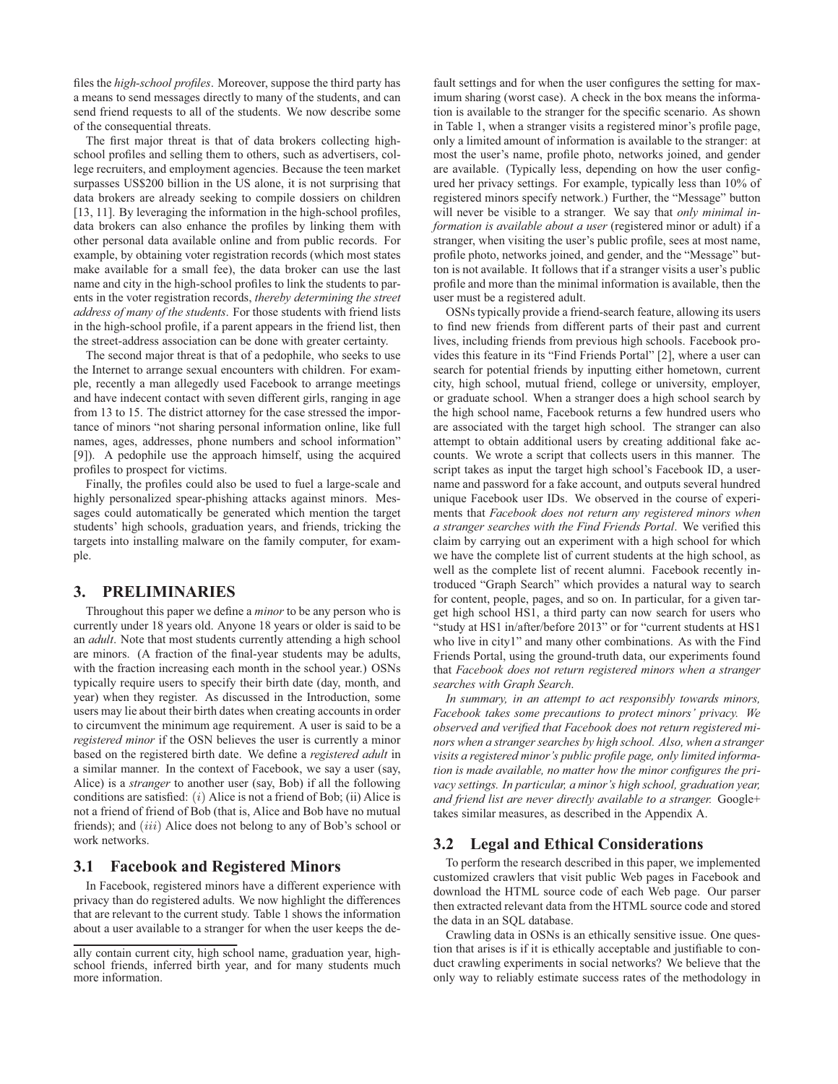files the *high-school profiles*. Moreover, suppose the third party has a means to send messages directly to many of the students, and can send friend requests to all of the students. We now describe some of the consequential threats.

The first major threat is that of data brokers collecting highschool profiles and selling them to others, such as advertisers, college recruiters, and employment agencies. Because the teen market surpasses US\$200 billion in the US alone, it is not surprising that data brokers are already seeking to compile dossiers on children [13, 11]. By leveraging the information in the high-school profiles, data brokers can also enhance the profiles by linking them with other personal data available online and from public records. For example, by obtaining voter registration records (which most states make available for a small fee), the data broker can use the last name and city in the high-school profiles to link the students to parents in the voter registration records, *thereby determining the street address of many of the students*. For those students with friend lists in the high-school profile, if a parent appears in the friend list, then the street-address association can be done with greater certainty.

The second major threat is that of a pedophile, who seeks to use the Internet to arrange sexual encounters with children. For example, recently a man allegedly used Facebook to arrange meetings and have indecent contact with seven different girls, ranging in age from 13 to 15. The district attorney for the case stressed the importance of minors "not sharing personal information online, like full names, ages, addresses, phone numbers and school information" [9]). A pedophile use the approach himself, using the acquired profiles to prospect for victims.

Finally, the profiles could also be used to fuel a large-scale and highly personalized spear-phishing attacks against minors. Messages could automatically be generated which mention the target students' high schools, graduation years, and friends, tricking the targets into installing malware on the family computer, for example.

#### **3. PRELIMINARIES**

Throughout this paper we define a *minor* to be any person who is currently under 18 years old. Anyone 18 years or older is said to be an *adult*. Note that most students currently attending a high school are minors. (A fraction of the final-year students may be adults, with the fraction increasing each month in the school year.) OSNs typically require users to specify their birth date (day, month, and year) when they register. As discussed in the Introduction, some users may lie about their birth dates when creating accounts in order to circumvent the minimum age requirement. A user is said to be a *registered minor* if the OSN believes the user is currently a minor based on the registered birth date. We define a *registered adult* in a similar manner. In the context of Facebook, we say a user (say, Alice) is a *stranger* to another user (say, Bob) if all the following conditions are satisfied:  $(i)$  Alice is not a friend of Bob;  $(ii)$  Alice is not a friend of friend of Bob (that is, Alice and Bob have no mutual friends); and (iii) Alice does not belong to any of Bob's school or work networks.

## **3.1 Facebook and Registered Minors**

In Facebook, registered minors have a different experience with privacy than do registered adults. We now highlight the differences that are relevant to the current study. Table 1 shows the information about a user available to a stranger for when the user keeps the default settings and for when the user configures the setting for maximum sharing (worst case). A check in the box means the information is available to the stranger for the specific scenario. As shown in Table 1, when a stranger visits a registered minor's profile page, only a limited amount of information is available to the stranger: at most the user's name, profile photo, networks joined, and gender are available. (Typically less, depending on how the user configured her privacy settings. For example, typically less than 10% of registered minors specify network.) Further, the "Message" button will never be visible to a stranger. We say that *only minimal information is available about a user* (registered minor or adult) if a stranger, when visiting the user's public profile, sees at most name, profile photo, networks joined, and gender, and the "Message" button is not available. It follows that if a stranger visits a user's public profile and more than the minimal information is available, then the user must be a registered adult.

OSNs typically provide a friend-search feature, allowing its users to find new friends from different parts of their past and current lives, including friends from previous high schools. Facebook provides this feature in its "Find Friends Portal" [2], where a user can search for potential friends by inputting either hometown, current city, high school, mutual friend, college or university, employer, or graduate school. When a stranger does a high school search by the high school name, Facebook returns a few hundred users who are associated with the target high school. The stranger can also attempt to obtain additional users by creating additional fake accounts. We wrote a script that collects users in this manner. The script takes as input the target high school's Facebook ID, a username and password for a fake account, and outputs several hundred unique Facebook user IDs. We observed in the course of experiments that *Facebook does not return any registered minors when a stranger searches with the Find Friends Portal*. We verified this claim by carrying out an experiment with a high school for which we have the complete list of current students at the high school, as well as the complete list of recent alumni. Facebook recently introduced "Graph Search" which provides a natural way to search for content, people, pages, and so on. In particular, for a given target high school HS1, a third party can now search for users who "study at HS1 in/after/before 2013" or for "current students at HS1 who live in city1" and many other combinations. As with the Find Friends Portal, using the ground-truth data, our experiments found that *Facebook does not return registered minors when a stranger searches with Graph Search*.

*In summary, in an attempt to act responsibly towards minors, Facebook takes some precautions to protect minors' privacy. We observed and verified that Facebook does not return registered minors when a stranger searches by high school. Also, when a stranger visits a registered minor's public profile page, only limited information is made available, no matter how the minor configures the privacy settings. In particular, a minor's high school, graduation year, and friend list are never directly available to a stranger.* Google+ takes similar measures, as described in the Appendix A.

## **3.2 Legal and Ethical Considerations**

To perform the research described in this paper, we implemented customized crawlers that visit public Web pages in Facebook and download the HTML source code of each Web page. Our parser then extracted relevant data from the HTML source code and stored the data in an SQL database.

Crawling data in OSNs is an ethically sensitive issue. One question that arises is if it is ethically acceptable and justifiable to conduct crawling experiments in social networks? We believe that the only way to reliably estimate success rates of the methodology in

ally contain current city, high school name, graduation year, highschool friends, inferred birth year, and for many students much more information.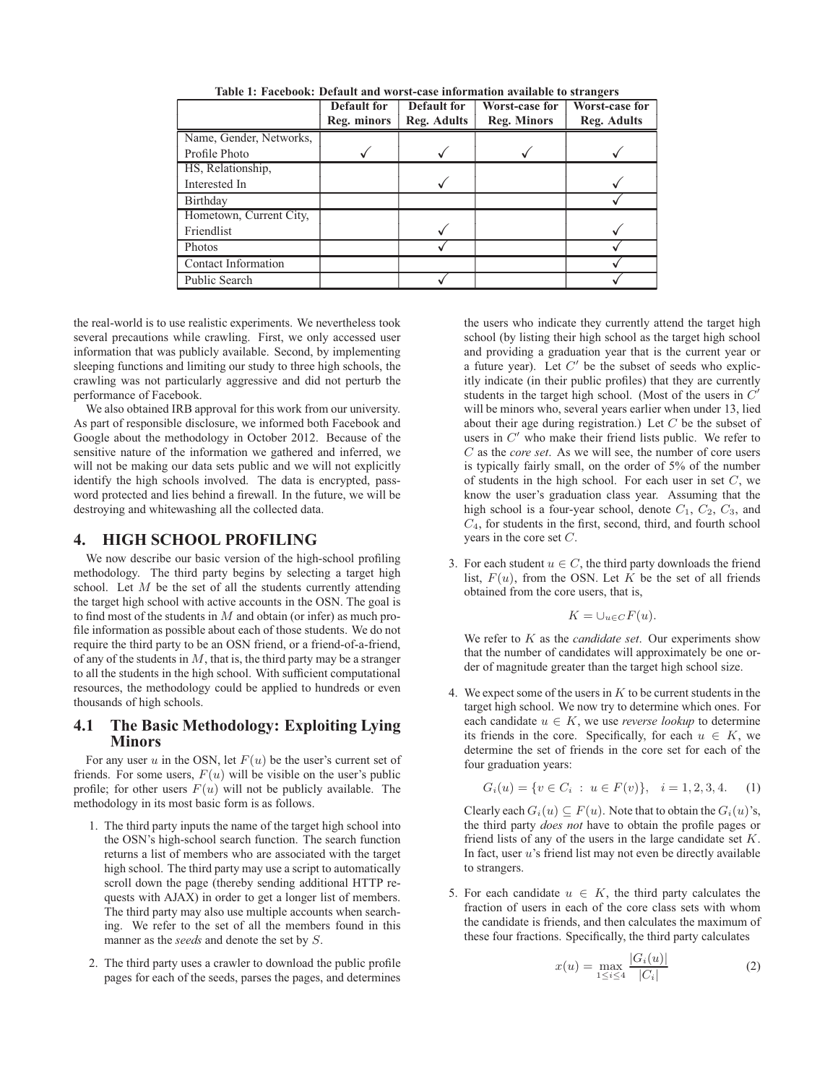|                         | Default for<br>Reg. minors | Default for<br>Reg. Adults | Worst-case for<br><b>Reg. Minors</b> | Worst-case for<br><b>Reg. Adults</b> |
|-------------------------|----------------------------|----------------------------|--------------------------------------|--------------------------------------|
| Name, Gender, Networks, |                            |                            |                                      |                                      |
| Profile Photo           |                            |                            |                                      |                                      |
| HS, Relationship,       |                            |                            |                                      |                                      |
| Interested In           |                            |                            |                                      |                                      |
| Birthday                |                            |                            |                                      |                                      |
| Hometown, Current City, |                            |                            |                                      |                                      |
| Friendlist              |                            |                            |                                      |                                      |
| Photos                  |                            |                            |                                      |                                      |
| Contact Information     |                            |                            |                                      |                                      |
| Public Search           |                            |                            |                                      |                                      |

**Table 1: Facebook: Default and worst-case information available to strangers**

the real-world is to use realistic experiments. We nevertheless took several precautions while crawling. First, we only accessed user information that was publicly available. Second, by implementing sleeping functions and limiting our study to three high schools, the crawling was not particularly aggressive and did not perturb the performance of Facebook.

We also obtained IRB approval for this work from our university. As part of responsible disclosure, we informed both Facebook and Google about the methodology in October 2012. Because of the sensitive nature of the information we gathered and inferred, we will not be making our data sets public and we will not explicitly identify the high schools involved. The data is encrypted, password protected and lies behind a firewall. In the future, we will be destroying and whitewashing all the collected data.

#### **4. HIGH SCHOOL PROFILING**

We now describe our basic version of the high-school profiling methodology. The third party begins by selecting a target high school. Let  $M$  be the set of all the students currently attending the target high school with active accounts in the OSN. The goal is to find most of the students in  $M$  and obtain (or infer) as much profile information as possible about each of those students. We do not require the third party to be an OSN friend, or a friend-of-a-friend, of any of the students in  $M$ , that is, the third party may be a stranger to all the students in the high school. With sufficient computational resources, the methodology could be applied to hundreds or even thousands of high schools.

# **4.1 The Basic Methodology: Exploiting Lying Minors**

For any user u in the OSN, let  $F(u)$  be the user's current set of friends. For some users,  $F(u)$  will be visible on the user's public profile; for other users  $F(u)$  will not be publicly available. The methodology in its most basic form is as follows.

- 1. The third party inputs the name of the target high school into the OSN's high-school search function. The search function returns a list of members who are associated with the target high school. The third party may use a script to automatically scroll down the page (thereby sending additional HTTP requests with AJAX) in order to get a longer list of members. The third party may also use multiple accounts when searching. We refer to the set of all the members found in this manner as the *seeds* and denote the set by S.
- 2. The third party uses a crawler to download the public profile pages for each of the seeds, parses the pages, and determines

the users who indicate they currently attend the target high school (by listing their high school as the target high school and providing a graduation year that is the current year or a future year). Let  $C'$  be the subset of seeds who explicitly indicate (in their public profiles) that they are currently students in the target high school. (Most of the users in  $C'$ will be minors who, several years earlier when under 13, lied about their age during registration.) Let  $C$  be the subset of users in  $C'$  who make their friend lists public. We refer to C as the *core set*. As we will see, the number of core users is typically fairly small, on the order of 5% of the number of students in the high school. For each user in set  $C$ , we know the user's graduation class year. Assuming that the high school is a four-year school, denote  $C_1$ ,  $C_2$ ,  $C_3$ , and  $C<sub>4</sub>$ , for students in the first, second, third, and fourth school years in the core set C.

3. For each student  $u \in C$ , the third party downloads the friend list,  $F(u)$ , from the OSN. Let K be the set of all friends obtained from the core users, that is,

$$
K = \bigcup_{u \in C} F(u).
$$

We refer to K as the *candidate set*. Our experiments show that the number of candidates will approximately be one order of magnitude greater than the target high school size.

4. We expect some of the users in  $K$  to be current students in the target high school. We now try to determine which ones. For each candidate  $u \in K$ , we use *reverse lookup* to determine its friends in the core. Specifically, for each  $u \in K$ , we determine the set of friends in the core set for each of the four graduation years:

$$
G_i(u) = \{ v \in C_i : u \in F(v) \}, \quad i = 1, 2, 3, 4. \tag{1}
$$

Clearly each  $G_i(u) \subseteq F(u)$ . Note that to obtain the  $G_i(u)$ 's, the third party *does not* have to obtain the profile pages or friend lists of any of the users in the large candidate set  $K$ . In fact, user  $u$ 's friend list may not even be directly available to strangers.

5. For each candidate  $u \in K$ , the third party calculates the fraction of users in each of the core class sets with whom the candidate is friends, and then calculates the maximum of these four fractions. Specifically, the third party calculates

$$
x(u) = \max_{1 \le i \le 4} \frac{|G_i(u)|}{|C_i|} \tag{2}
$$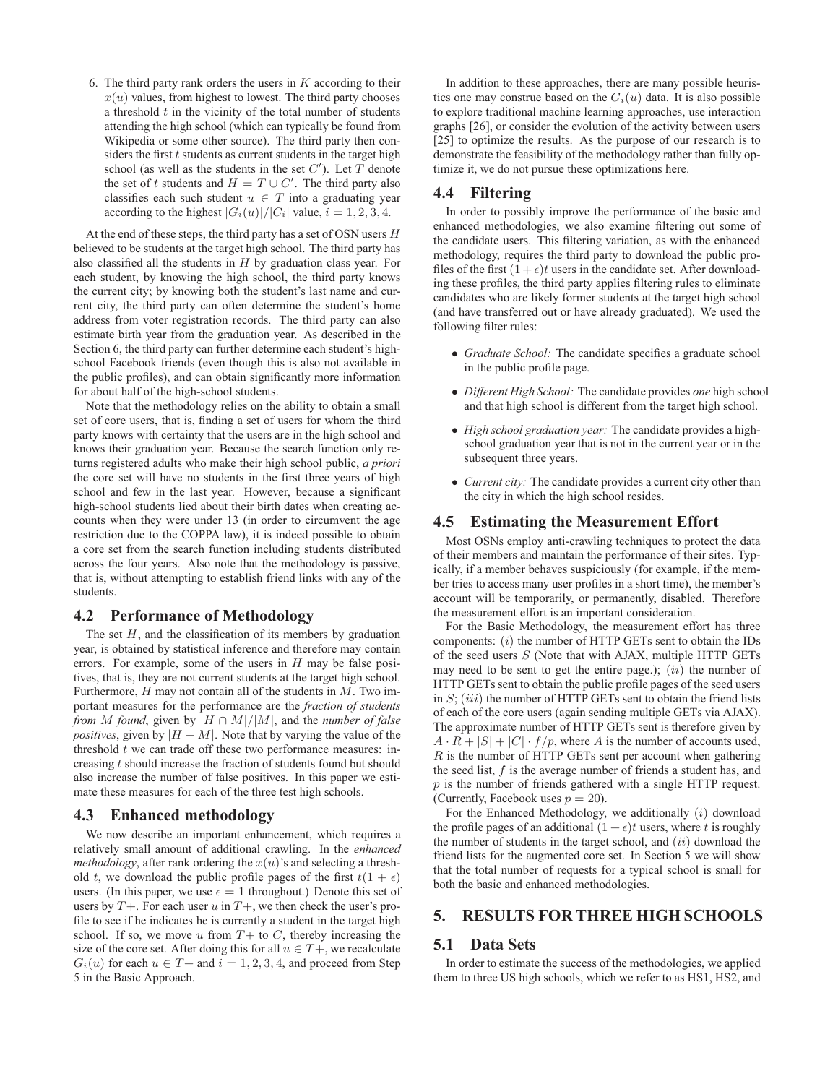6. The third party rank orders the users in  $K$  according to their  $x(u)$  values, from highest to lowest. The third party chooses a threshold  $t$  in the vicinity of the total number of students attending the high school (which can typically be found from Wikipedia or some other source). The third party then considers the first  $t$  students as current students in the target high school (as well as the students in the set  $C'$ ). Let  $T$  denote the set of t students and  $H = T \cup C'$ . The third party also classifies each such student  $u \in T$  into a graduating year according to the highest  $|G_i(u)|/|C_i|$  value,  $i = 1, 2, 3, 4$ .

At the end of these steps, the third party has a set of OSN users  $H$ believed to be students at the target high school. The third party has also classified all the students in  $H$  by graduation class year. For each student, by knowing the high school, the third party knows the current city; by knowing both the student's last name and current city, the third party can often determine the student's home address from voter registration records. The third party can also estimate birth year from the graduation year. As described in the Section 6, the third party can further determine each student's highschool Facebook friends (even though this is also not available in the public profiles), and can obtain significantly more information for about half of the high-school students.

Note that the methodology relies on the ability to obtain a small set of core users, that is, finding a set of users for whom the third party knows with certainty that the users are in the high school and knows their graduation year. Because the search function only returns registered adults who make their high school public, *a priori* the core set will have no students in the first three years of high school and few in the last year. However, because a significant high-school students lied about their birth dates when creating accounts when they were under 13 (in order to circumvent the age restriction due to the COPPA law), it is indeed possible to obtain a core set from the search function including students distributed across the four years. Also note that the methodology is passive, that is, without attempting to establish friend links with any of the students.

## **4.2 Performance of Methodology**

The set  $H$ , and the classification of its members by graduation year, is obtained by statistical inference and therefore may contain errors. For example, some of the users in  $H$  may be false positives, that is, they are not current students at the target high school. Furthermore,  $H$  may not contain all of the students in  $M$ . Two important measures for the performance are the *fraction of students from M found*, given by  $|H \cap M|/|M|$ , and the *number of false positives*, given by  $|H - M|$ . Note that by varying the value of the threshold  $t$  we can trade off these two performance measures: increasing t should increase the fraction of students found but should also increase the number of false positives. In this paper we estimate these measures for each of the three test high schools.

#### **4.3 Enhanced methodology**

We now describe an important enhancement, which requires a relatively small amount of additional crawling. In the *enhanced methodology*, after rank ordering the  $x(u)$ 's and selecting a threshold t, we download the public profile pages of the first  $t(1 + \epsilon)$ users. (In this paper, we use  $\epsilon = 1$  throughout.) Denote this set of users by  $T+$ . For each user u in  $T+$ , we then check the user's profile to see if he indicates he is currently a student in the target high school. If so, we move u from  $T+$  to C, thereby increasing the size of the core set. After doing this for all  $u \in T +$ , we recalculate  $G_i(u)$  for each  $u \in T+$  and  $i = 1, 2, 3, 4$ , and proceed from Step 5 in the Basic Approach.

In addition to these approaches, there are many possible heuristics one may construe based on the  $G_i(u)$  data. It is also possible to explore traditional machine learning approaches, use interaction graphs [26], or consider the evolution of the activity between users [25] to optimize the results. As the purpose of our research is to demonstrate the feasibility of the methodology rather than fully optimize it, we do not pursue these optimizations here.

## **4.4 Filtering**

In order to possibly improve the performance of the basic and enhanced methodologies, we also examine filtering out some of the candidate users. This filtering variation, as with the enhanced methodology, requires the third party to download the public profiles of the first  $(1 + \epsilon)t$  users in the candidate set. After downloading these profiles, the third party applies filtering rules to eliminate candidates who are likely former students at the target high school (and have transferred out or have already graduated). We used the following filter rules:

- *Graduate School:* The candidate specifies a graduate school in the public profile page.
- *Different High School:* The candidate provides *one* high school and that high school is different from the target high school.
- *High school graduation year:* The candidate provides a highschool graduation year that is not in the current year or in the subsequent three years.
- *Current city:* The candidate provides a current city other than the city in which the high school resides.

#### **4.5 Estimating the Measurement Effort**

Most OSNs employ anti-crawling techniques to protect the data of their members and maintain the performance of their sites. Typically, if a member behaves suspiciously (for example, if the member tries to access many user profiles in a short time), the member's account will be temporarily, or permanently, disabled. Therefore the measurement effort is an important consideration.

For the Basic Methodology, the measurement effort has three components:  $(i)$  the number of HTTP GETs sent to obtain the IDs of the seed users  $S$  (Note that with AJAX, multiple HTTP GETs may need to be sent to get the entire page.);  $(ii)$  the number of HTTP GETs sent to obtain the public profile pages of the seed users in  $S$ ;  $(iii)$  the number of HTTP GETs sent to obtain the friend lists of each of the core users (again sending multiple GETs via AJAX). The approximate number of HTTP GETs sent is therefore given by  $A \cdot R + |S| + |C| \cdot f/p$ , where A is the number of accounts used,  $R$  is the number of HTTP GETs sent per account when gathering the seed list,  $f$  is the average number of friends a student has, and  $p$  is the number of friends gathered with a single HTTP request. (Currently, Facebook uses  $p = 20$ ).

For the Enhanced Methodology, we additionally (i) download the profile pages of an additional  $(1 + \epsilon)t$  users, where t is roughly the number of students in the target school, and  $(ii)$  download the friend lists for the augmented core set. In Section 5 we will show that the total number of requests for a typical school is small for both the basic and enhanced methodologies.

# **5. RESULTS FOR THREE HIGH SCHOOLS**

# **5.1 Data Sets**

In order to estimate the success of the methodologies, we applied them to three US high schools, which we refer to as HS1, HS2, and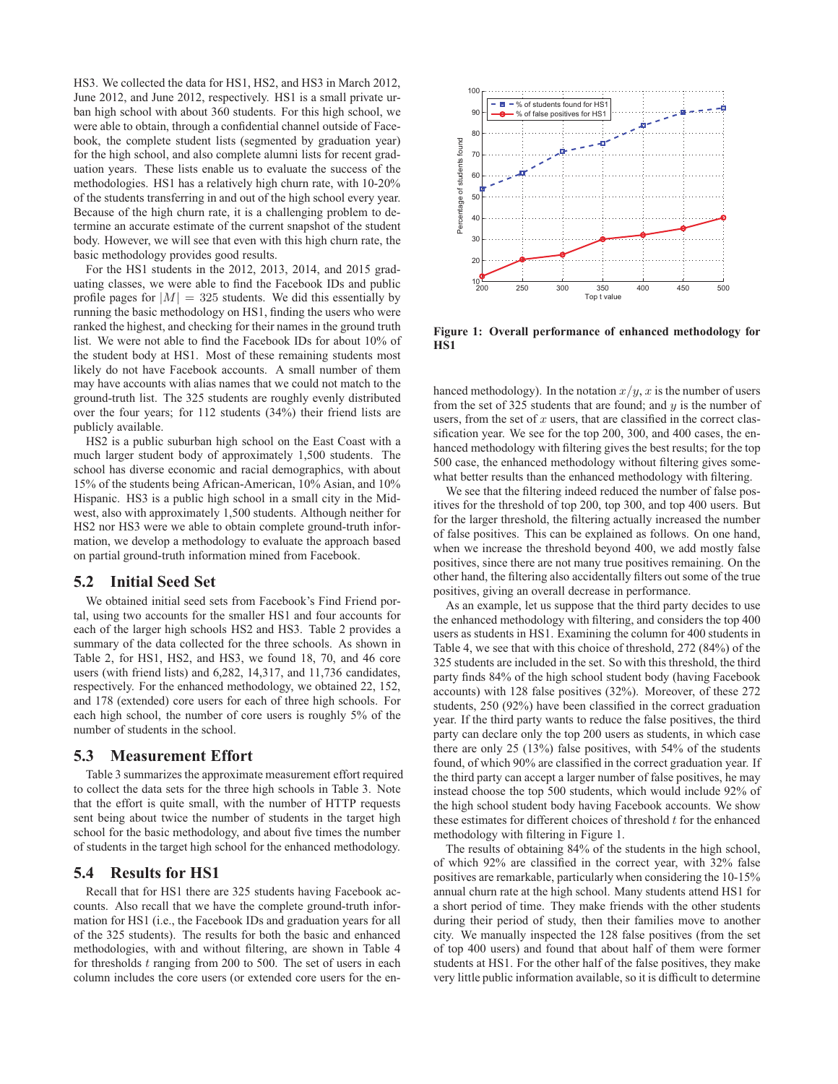HS3. We collected the data for HS1, HS2, and HS3 in March 2012, June 2012, and June 2012, respectively. HS1 is a small private urban high school with about 360 students. For this high school, we were able to obtain, through a confidential channel outside of Facebook, the complete student lists (segmented by graduation year) for the high school, and also complete alumni lists for recent graduation years. These lists enable us to evaluate the success of the methodologies. HS1 has a relatively high churn rate, with 10-20% of the students transferring in and out of the high school every year. Because of the high churn rate, it is a challenging problem to determine an accurate estimate of the current snapshot of the student body. However, we will see that even with this high churn rate, the basic methodology provides good results.

For the HS1 students in the 2012, 2013, 2014, and 2015 graduating classes, we were able to find the Facebook IDs and public profile pages for  $|M| = 325$  students. We did this essentially by running the basic methodology on HS1, finding the users who were ranked the highest, and checking for their names in the ground truth list. We were not able to find the Facebook IDs for about 10% of the student body at HS1. Most of these remaining students most likely do not have Facebook accounts. A small number of them may have accounts with alias names that we could not match to the ground-truth list. The 325 students are roughly evenly distributed over the four years; for 112 students (34%) their friend lists are publicly available.

HS2 is a public suburban high school on the East Coast with a much larger student body of approximately 1,500 students. The school has diverse economic and racial demographics, with about 15% of the students being African-American, 10% Asian, and 10% Hispanic. HS3 is a public high school in a small city in the Midwest, also with approximately 1,500 students. Although neither for HS2 nor HS3 were we able to obtain complete ground-truth information, we develop a methodology to evaluate the approach based on partial ground-truth information mined from Facebook.

#### **5.2 Initial Seed Set**

We obtained initial seed sets from Facebook's Find Friend portal, using two accounts for the smaller HS1 and four accounts for each of the larger high schools HS2 and HS3. Table 2 provides a summary of the data collected for the three schools. As shown in Table 2, for HS1, HS2, and HS3, we found 18, 70, and 46 core users (with friend lists) and 6,282, 14,317, and 11,736 candidates, respectively. For the enhanced methodology, we obtained 22, 152, and 178 (extended) core users for each of three high schools. For each high school, the number of core users is roughly 5% of the number of students in the school.

#### **5.3 Measurement Effort**

Table 3 summarizes the approximate measurement effort required to collect the data sets for the three high schools in Table 3. Note that the effort is quite small, with the number of HTTP requests sent being about twice the number of students in the target high school for the basic methodology, and about five times the number of students in the target high school for the enhanced methodology.

# **5.4 Results for HS1**

Recall that for HS1 there are 325 students having Facebook accounts. Also recall that we have the complete ground-truth information for HS1 (i.e., the Facebook IDs and graduation years for all of the 325 students). The results for both the basic and enhanced methodologies, with and without filtering, are shown in Table 4 for thresholds  $t$  ranging from 200 to 500. The set of users in each column includes the core users (or extended core users for the en-



**Figure 1: Overall performance of enhanced methodology for HS1**

hanced methodology). In the notation  $x/y$ , x is the number of users from the set of 325 students that are found; and  $\gamma$  is the number of users, from the set of  $x$  users, that are classified in the correct classification year. We see for the top 200, 300, and 400 cases, the enhanced methodology with filtering gives the best results; for the top 500 case, the enhanced methodology without filtering gives somewhat better results than the enhanced methodology with filtering.

We see that the filtering indeed reduced the number of false positives for the threshold of top 200, top 300, and top 400 users. But for the larger threshold, the filtering actually increased the number of false positives. This can be explained as follows. On one hand, when we increase the threshold beyond 400, we add mostly false positives, since there are not many true positives remaining. On the other hand, the filtering also accidentally filters out some of the true positives, giving an overall decrease in performance.

As an example, let us suppose that the third party decides to use the enhanced methodology with filtering, and considers the top 400 users as students in HS1. Examining the column for 400 students in Table 4, we see that with this choice of threshold, 272 (84%) of the 325 students are included in the set. So with this threshold, the third party finds 84% of the high school student body (having Facebook accounts) with 128 false positives (32%). Moreover, of these 272 students, 250 (92%) have been classified in the correct graduation year. If the third party wants to reduce the false positives, the third party can declare only the top 200 users as students, in which case there are only 25 (13%) false positives, with 54% of the students found, of which 90% are classified in the correct graduation year. If the third party can accept a larger number of false positives, he may instead choose the top 500 students, which would include 92% of the high school student body having Facebook accounts. We show these estimates for different choices of threshold  $t$  for the enhanced methodology with filtering in Figure 1.

The results of obtaining 84% of the students in the high school, of which 92% are classified in the correct year, with 32% false positives are remarkable, particularly when considering the 10-15% annual churn rate at the high school. Many students attend HS1 for a short period of time. They make friends with the other students during their period of study, then their families move to another city. We manually inspected the 128 false positives (from the set of top 400 users) and found that about half of them were former students at HS1. For the other half of the false positives, they make very little public information available, so it is difficult to determine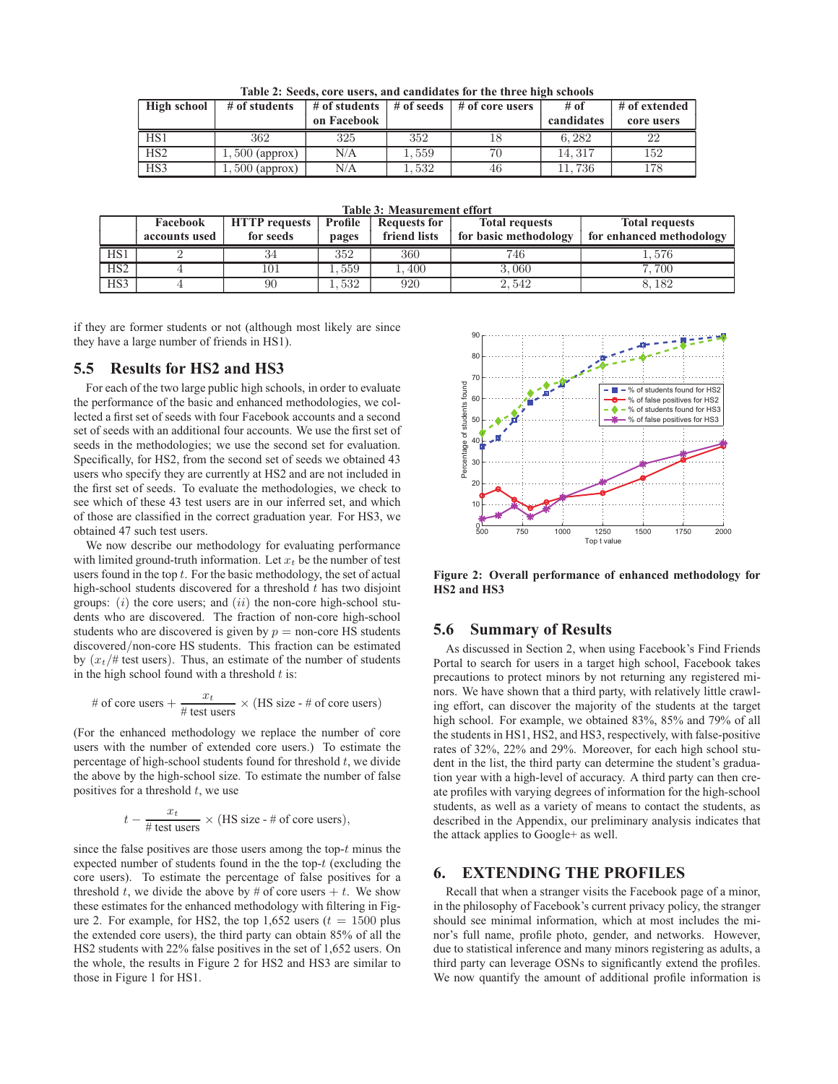**Table 2: Seeds, core users, and candidates for the three high schools**

| <b>High school</b> | $#$ of students  |             |       | # of students $\vert$ # of seeds $\vert$ # of core users | # of       | # of extended |
|--------------------|------------------|-------------|-------|----------------------------------------------------------|------------|---------------|
|                    |                  | on Facebook |       |                                                          | candidates | core users    |
| HS1                | 362              | 325         | 352   |                                                          | 6.282      | 22            |
| HS <sub>2</sub>    | $, 500$ (approx) | N/A         | .559  | 70                                                       | 14.317     | 152           |
| HS3                | $, 500$ (approx) | N/A         | 1,532 | 46                                                       | 11.736     | 178           |

**Table 3: Measurement effort**

|     | Facebook      | <b>HTTP</b> requests | Profile | <b>Requests for</b> | <b>Total requests</b> | <b>Total requests</b>    |
|-----|---------------|----------------------|---------|---------------------|-----------------------|--------------------------|
|     | accounts used | for seeds            | pages   | friend lists        | for basic methodology | for enhanced methodology |
| HS1 |               | 34                   | 352     | 360                 | 746                   | 1.576                    |
| HS2 |               | 101                  | ., 559  | 400                 | 3,060                 | 7,700                    |
| HS3 |               | 90                   | .532    | 920                 | 2,542                 | 8.182                    |

if they are former students or not (although most likely are since they have a large number of friends in HS1).

# **5.5 Results for HS2 and HS3**

For each of the two large public high schools, in order to evaluate the performance of the basic and enhanced methodologies, we collected a first set of seeds with four Facebook accounts and a second set of seeds with an additional four accounts. We use the first set of seeds in the methodologies; we use the second set for evaluation. Specifically, for HS2, from the second set of seeds we obtained 43 users who specify they are currently at HS2 and are not included in the first set of seeds. To evaluate the methodologies, we check to see which of these 43 test users are in our inferred set, and which of those are classified in the correct graduation year. For HS3, we obtained 47 such test users.

We now describe our methodology for evaluating performance with limited ground-truth information. Let  $x_t$  be the number of test users found in the top  $t$ . For the basic methodology, the set of actual high-school students discovered for a threshold  $t$  has two disjoint groups:  $(i)$  the core users; and  $(ii)$  the non-core high-school students who are discovered. The fraction of non-core high-school students who are discovered is given by  $p =$  non-core HS students discovered/non-core HS students. This fraction can be estimated by  $(x_t)$  test users). Thus, an estimate of the number of students in the high school found with a threshold  $t$  is:

# of core users + 
$$
\frac{x_t}{\# \text{ test users}} \times (\text{HS size - } \# \text{ of core users})
$$

(For the enhanced methodology we replace the number of core users with the number of extended core users.) To estimate the percentage of high-school students found for threshold  $t$ , we divide the above by the high-school size. To estimate the number of false positives for a threshold  $t$ , we use

$$
t - \frac{x_t}{\# \text{ test users}} \times (\text{HS size - } # \text{ of core users}),
$$

since the false positives are those users among the top- $t$  minus the expected number of students found in the the top- $t$  (excluding the core users). To estimate the percentage of false positives for a threshold t, we divide the above by # of core users  $+ t$ . We show these estimates for the enhanced methodology with filtering in Figure 2. For example, for HS2, the top 1,652 users ( $t = 1500$  plus the extended core users), the third party can obtain 85% of all the HS2 students with 22% false positives in the set of 1,652 users. On the whole, the results in Figure 2 for HS2 and HS3 are similar to those in Figure 1 for HS1.



**Figure 2: Overall performance of enhanced methodology for HS2 and HS3**

## **5.6 Summary of Results**

As discussed in Section 2, when using Facebook's Find Friends Portal to search for users in a target high school, Facebook takes precautions to protect minors by not returning any registered minors. We have shown that a third party, with relatively little crawling effort, can discover the majority of the students at the target high school. For example, we obtained 83%, 85% and 79% of all the students in HS1, HS2, and HS3, respectively, with false-positive rates of 32%, 22% and 29%. Moreover, for each high school student in the list, the third party can determine the student's graduation year with a high-level of accuracy. A third party can then create profiles with varying degrees of information for the high-school students, as well as a variety of means to contact the students, as described in the Appendix, our preliminary analysis indicates that the attack applies to Google+ as well.

# **6. EXTENDING THE PROFILES**

Recall that when a stranger visits the Facebook page of a minor, in the philosophy of Facebook's current privacy policy, the stranger should see minimal information, which at most includes the minor's full name, profile photo, gender, and networks. However, due to statistical inference and many minors registering as adults, a third party can leverage OSNs to significantly extend the profiles. We now quantify the amount of additional profile information is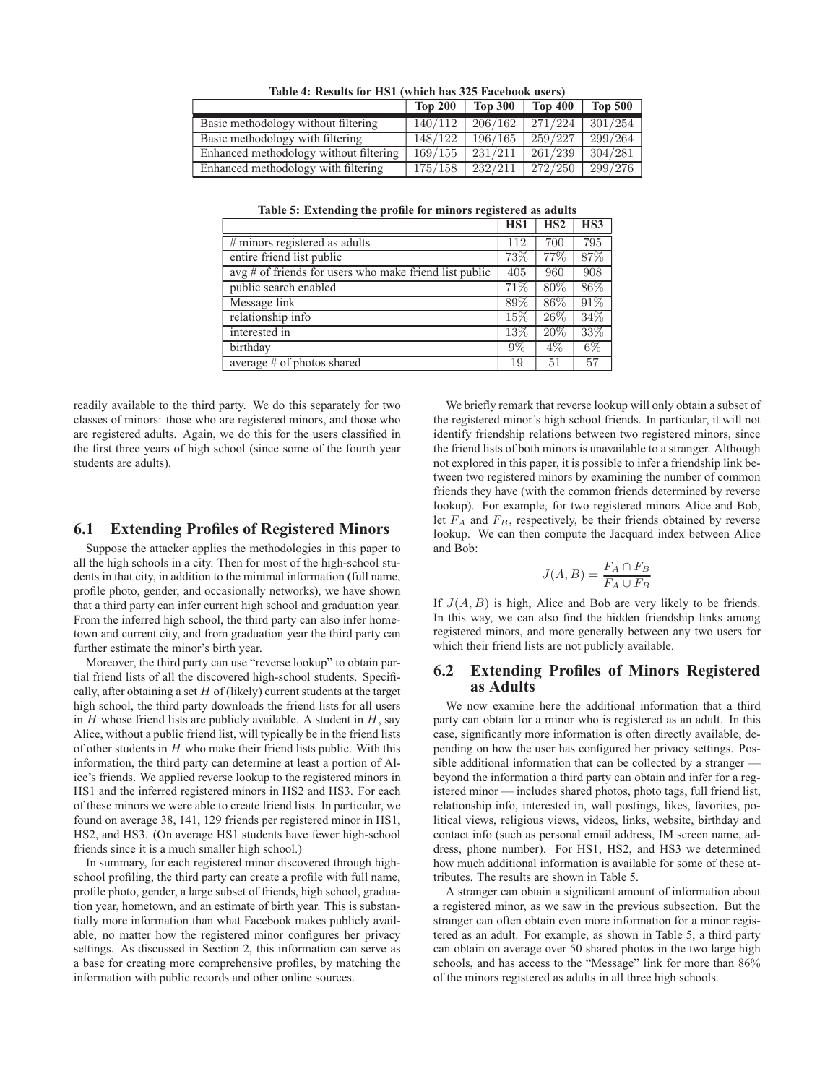| Table 4: Results for first twillen has 325 Facebook users) |                |                     |                |                |  |
|------------------------------------------------------------|----------------|---------------------|----------------|----------------|--|
|                                                            | <b>Top 200</b> | <b>Top 300</b>      | <b>Top 400</b> | <b>Top 500</b> |  |
| Basic methodology without filtering                        | 140/112        | 206/162             | 271/224        | 301/254        |  |
| Basic methodology with filtering                           | 148/122        | 196/165             | 259/227        | 299/264        |  |
| Enhanced methodology without filtering                     | 169/155        | 231/211             | 261/239        | 304/281        |  |
| Enhanced methodology with filtering                        | 175/158        | $232/211$ $272/250$ |                | 299/276        |  |

**Table 4: Results for HS1 (which has 325 Facebook users)**

**Table 5: Extending the profile for minors registered as adults**

|                                                           | HS <sub>1</sub> | HS2   | HS3   |
|-----------------------------------------------------------|-----------------|-------|-------|
| # minors registered as adults                             | 112             | 700   | 795   |
| entire friend list public                                 | 73%             | 77%   | 87%   |
| $avg \#$ of friends for users who make friend list public | 405             | 960   | 908   |
| public search enabled                                     | 71%             | 80\%  | 86%   |
| Message link                                              | 89%             | 86\%  | 91%   |
| relationship info                                         | 15%             | 26%   | 34%   |
| interested in                                             | 13%             | 20%   | 33%   |
| birthday                                                  | $9\%$           | $4\%$ | $6\%$ |
| average $#$ of photos shared                              | 19              | 51    | 57    |

readily available to the third party. We do this separately for two classes of minors: those who are registered minors, and those who are registered adults. Again, we do this for the users classified in the first three years of high school (since some of the fourth year students are adults).

# **6.1 Extending Profiles of Registered Minors**

Suppose the attacker applies the methodologies in this paper to all the high schools in a city. Then for most of the high-school students in that city, in addition to the minimal information (full name, profile photo, gender, and occasionally networks), we have shown that a third party can infer current high school and graduation year. From the inferred high school, the third party can also infer hometown and current city, and from graduation year the third party can further estimate the minor's birth year.

Moreover, the third party can use "reverse lookup" to obtain partial friend lists of all the discovered high-school students. Specifically, after obtaining a set  $H$  of (likely) current students at the target high school, the third party downloads the friend lists for all users in  $H$  whose friend lists are publicly available. A student in  $H$ , say Alice, without a public friend list, will typically be in the friend lists of other students in  $H$  who make their friend lists public. With this information, the third party can determine at least a portion of Alice's friends. We applied reverse lookup to the registered minors in HS1 and the inferred registered minors in HS2 and HS3. For each of these minors we were able to create friend lists. In particular, we found on average 38, 141, 129 friends per registered minor in HS1, HS2, and HS3. (On average HS1 students have fewer high-school friends since it is a much smaller high school.)

In summary, for each registered minor discovered through highschool profiling, the third party can create a profile with full name, profile photo, gender, a large subset of friends, high school, graduation year, hometown, and an estimate of birth year. This is substantially more information than what Facebook makes publicly available, no matter how the registered minor configures her privacy settings. As discussed in Section 2, this information can serve as a base for creating more comprehensive profiles, by matching the information with public records and other online sources.

We briefly remark that reverse lookup will only obtain a subset of the registered minor's high school friends. In particular, it will not identify friendship relations between two registered minors, since the friend lists of both minors is unavailable to a stranger. Although not explored in this paper, it is possible to infer a friendship link between two registered minors by examining the number of common friends they have (with the common friends determined by reverse lookup). For example, for two registered minors Alice and Bob, let  $F_A$  and  $F_B$ , respectively, be their friends obtained by reverse lookup. We can then compute the Jacquard index between Alice and Bob:

$$
J(A, B) = \frac{F_A \cap F_B}{F_A \cup F_B}
$$

If  $J(A, B)$  is high, Alice and Bob are very likely to be friends. In this way, we can also find the hidden friendship links among registered minors, and more generally between any two users for which their friend lists are not publicly available.

#### **6.2 Extending Profiles of Minors Registered as Adults**

We now examine here the additional information that a third party can obtain for a minor who is registered as an adult. In this case, significantly more information is often directly available, depending on how the user has configured her privacy settings. Possible additional information that can be collected by a stranger beyond the information a third party can obtain and infer for a registered minor — includes shared photos, photo tags, full friend list, relationship info, interested in, wall postings, likes, favorites, political views, religious views, videos, links, website, birthday and contact info (such as personal email address, IM screen name, address, phone number). For HS1, HS2, and HS3 we determined how much additional information is available for some of these attributes. The results are shown in Table 5.

A stranger can obtain a significant amount of information about a registered minor, as we saw in the previous subsection. But the stranger can often obtain even more information for a minor registered as an adult. For example, as shown in Table 5, a third party can obtain on average over 50 shared photos in the two large high schools, and has access to the "Message" link for more than 86% of the minors registered as adults in all three high schools.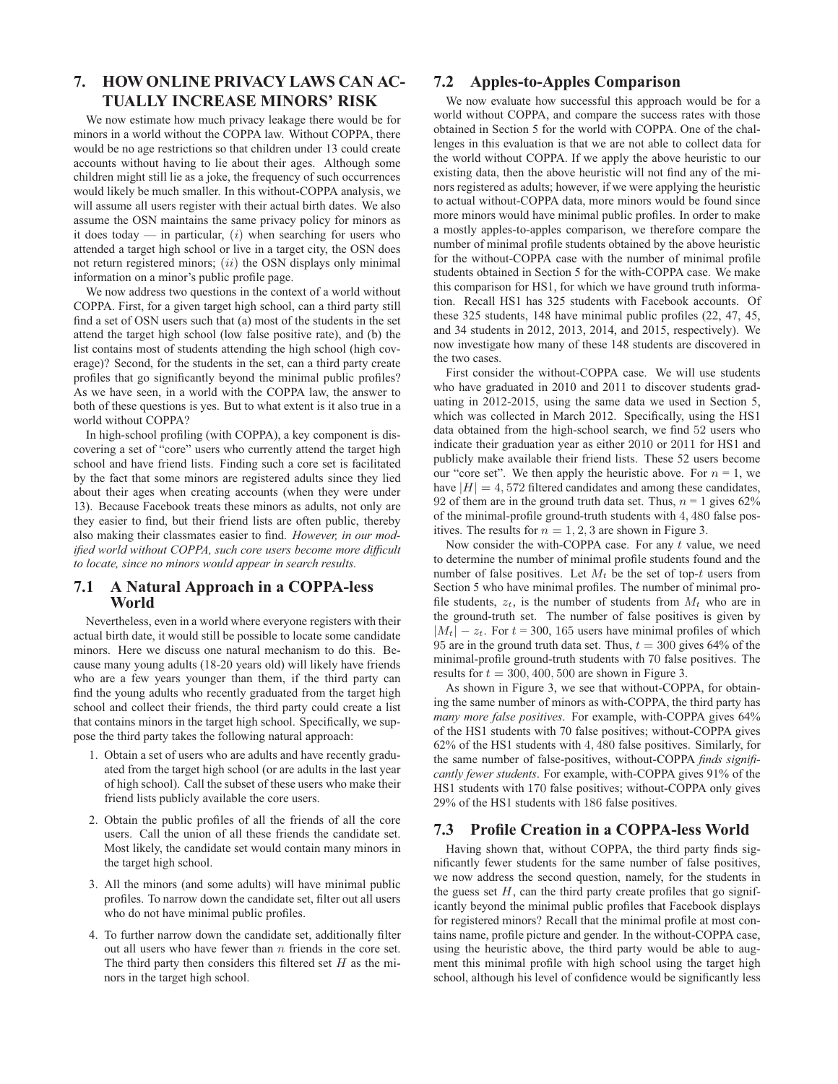# **7. HOW ONLINE PRIVACY LAWS CAN AC-TUALLY INCREASE MINORS' RISK**

We now estimate how much privacy leakage there would be for minors in a world without the COPPA law. Without COPPA, there would be no age restrictions so that children under 13 could create accounts without having to lie about their ages. Although some children might still lie as a joke, the frequency of such occurrences would likely be much smaller. In this without-COPPA analysis, we will assume all users register with their actual birth dates. We also assume the OSN maintains the same privacy policy for minors as it does today — in particular,  $(i)$  when searching for users who attended a target high school or live in a target city, the OSN does not return registered minors;  $(ii)$  the OSN displays only minimal information on a minor's public profile page.

We now address two questions in the context of a world without COPPA. First, for a given target high school, can a third party still find a set of OSN users such that (a) most of the students in the set attend the target high school (low false positive rate), and (b) the list contains most of students attending the high school (high coverage)? Second, for the students in the set, can a third party create profiles that go significantly beyond the minimal public profiles? As we have seen, in a world with the COPPA law, the answer to both of these questions is yes. But to what extent is it also true in a world without COPPA?

In high-school profiling (with COPPA), a key component is discovering a set of "core" users who currently attend the target high school and have friend lists. Finding such a core set is facilitated by the fact that some minors are registered adults since they lied about their ages when creating accounts (when they were under 13). Because Facebook treats these minors as adults, not only are they easier to find, but their friend lists are often public, thereby also making their classmates easier to find. *However, in our modified world without COPPA, such core users become more difficult to locate, since no minors would appear in search results.*

# **7.1 A Natural Approach in a COPPA-less World**

Nevertheless, even in a world where everyone registers with their actual birth date, it would still be possible to locate some candidate minors. Here we discuss one natural mechanism to do this. Because many young adults (18-20 years old) will likely have friends who are a few years younger than them, if the third party can find the young adults who recently graduated from the target high school and collect their friends, the third party could create a list that contains minors in the target high school. Specifically, we suppose the third party takes the following natural approach:

- 1. Obtain a set of users who are adults and have recently graduated from the target high school (or are adults in the last year of high school). Call the subset of these users who make their friend lists publicly available the core users.
- 2. Obtain the public profiles of all the friends of all the core users. Call the union of all these friends the candidate set. Most likely, the candidate set would contain many minors in the target high school.
- 3. All the minors (and some adults) will have minimal public profiles. To narrow down the candidate set, filter out all users who do not have minimal public profiles.
- 4. To further narrow down the candidate set, additionally filter out all users who have fewer than  $n$  friends in the core set. The third party then considers this filtered set  $H$  as the minors in the target high school.

# **7.2 Apples-to-Apples Comparison**

We now evaluate how successful this approach would be for a world without COPPA, and compare the success rates with those obtained in Section 5 for the world with COPPA. One of the challenges in this evaluation is that we are not able to collect data for the world without COPPA. If we apply the above heuristic to our existing data, then the above heuristic will not find any of the minors registered as adults; however, if we were applying the heuristic to actual without-COPPA data, more minors would be found since more minors would have minimal public profiles. In order to make a mostly apples-to-apples comparison, we therefore compare the number of minimal profile students obtained by the above heuristic for the without-COPPA case with the number of minimal profile students obtained in Section 5 for the with-COPPA case. We make this comparison for HS1, for which we have ground truth information. Recall HS1 has 325 students with Facebook accounts. Of these 325 students, 148 have minimal public profiles (22, 47, 45, and 34 students in 2012, 2013, 2014, and 2015, respectively). We now investigate how many of these 148 students are discovered in the two cases.

First consider the without-COPPA case. We will use students who have graduated in 2010 and 2011 to discover students graduating in 2012-2015, using the same data we used in Section 5, which was collected in March 2012. Specifically, using the HS1 data obtained from the high-school search, we find 52 users who indicate their graduation year as either 2010 or 2011 for HS1 and publicly make available their friend lists. These 52 users become our "core set". We then apply the heuristic above. For  $n = 1$ , we have  $|H| = 4,572$  filtered candidates and among these candidates, 92 of them are in the ground truth data set. Thus,  $n = 1$  gives 62% of the minimal-profile ground-truth students with 4, 480 false positives. The results for  $n = 1, 2, 3$  are shown in Figure 3.

Now consider the with-COPPA case. For any  $t$  value, we need to determine the number of minimal profile students found and the number of false positives. Let  $M_t$  be the set of top-t users from Section 5 who have minimal profiles. The number of minimal profile students,  $z_t$ , is the number of students from  $M_t$  who are in the ground-truth set. The number of false positives is given by  $|M_t| - z_t$ . For  $t = 300$ , 165 users have minimal profiles of which 95 are in the ground truth data set. Thus,  $t = 300$  gives 64% of the minimal-profile ground-truth students with 70 false positives. The results for  $t = 300, 400, 500$  are shown in Figure 3.

As shown in Figure 3, we see that without-COPPA, for obtaining the same number of minors as with-COPPA, the third party has *many more false positives*. For example, with-COPPA gives 64% of the HS1 students with 70 false positives; without-COPPA gives 62% of the HS1 students with 4, 480 false positives. Similarly, for the same number of false-positives, without-COPPA *finds significantly fewer students*. For example, with-COPPA gives 91% of the HS1 students with 170 false positives; without-COPPA only gives 29% of the HS1 students with 186 false positives.

# **7.3 Profile Creation in a COPPA-less World**

Having shown that, without COPPA, the third party finds significantly fewer students for the same number of false positives, we now address the second question, namely, for the students in the guess set  $H$ , can the third party create profiles that go significantly beyond the minimal public profiles that Facebook displays for registered minors? Recall that the minimal profile at most contains name, profile picture and gender. In the without-COPPA case, using the heuristic above, the third party would be able to augment this minimal profile with high school using the target high school, although his level of confidence would be significantly less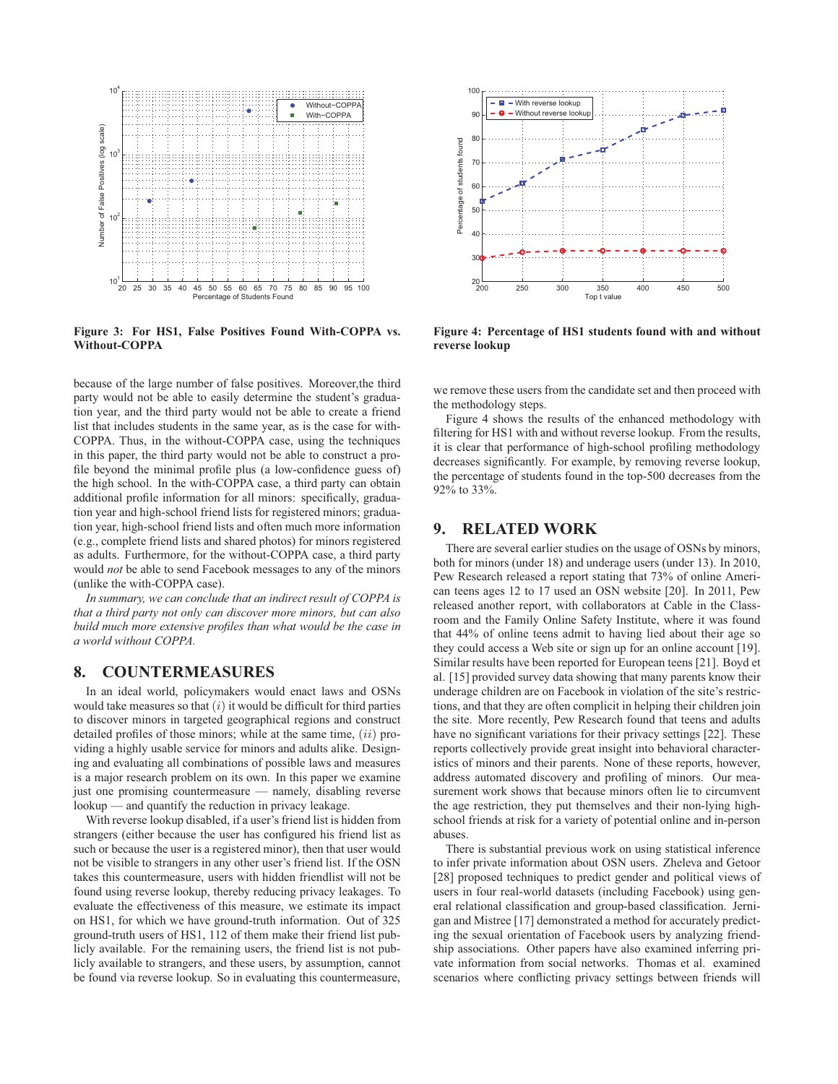

**Figure 3: For HS1, False Positives Found With-COPPA vs. Without-COPPA**

because of the large number of false positives. Moreover,the third party would not be able to easily determine the student's graduation year, and the third party would not be able to create a friend list that includes students in the same year, as is the case for with-COPPA. Thus, in the without-COPPA case, using the techniques in this paper, the third party would not be able to construct a profile beyond the minimal profile plus (a low-confidence guess of) the high school. In the with-COPPA case, a third party can obtain additional profile information for all minors: specifically, graduation year and high-school friend lists for registered minors; graduation year, high-school friend lists and often much more information (e.g., complete friend lists and shared photos) for minors registered as adults. Furthermore, for the without-COPPA case, a third party would *not* be able to send Facebook messages to any of the minors (unlike the with-COPPA case).

*In summary, we can conclude that an indirect result of COPPA is that a third party not only can discover more minors, but can also build much more extensive profiles than what would be the case in a world without COPPA.*

# **8. COUNTERMEASURES**

In an ideal world, policymakers would enact laws and OSNs would take measures so that  $(i)$  it would be difficult for third parties to discover minors in targeted geographical regions and construct detailed profiles of those minors; while at the same time,  $(ii)$  providing a highly usable service for minors and adults alike. Designing and evaluating all combinations of possible laws and measures is a major research problem on its own. In this paper we examine just one promising countermeasure — namely, disabling reverse lookup — and quantify the reduction in privacy leakage.

With reverse lookup disabled, if a user's friend list is hidden from strangers (either because the user has configured his friend list as such or because the user is a registered minor), then that user would not be visible to strangers in any other user's friend list. If the OSN takes this countermeasure, users with hidden friendlist will not be found using reverse lookup, thereby reducing privacy leakages. To evaluate the effectiveness of this measure, we estimate its impact on HS1, for which we have ground-truth information. Out of 325 ground-truth users of HS1, 112 of them make their friend list publicly available. For the remaining users, the friend list is not publicly available to strangers, and these users, by assumption, cannot be found via reverse lookup. So in evaluating this countermeasure,



**Figure 4: Percentage of HS1 students found with and without reverse lookup**

we remove these users from the candidate set and then proceed with the methodology steps.

Figure 4 shows the results of the enhanced methodology with filtering for HS1 with and without reverse lookup. From the results, it is clear that performance of high-school profiling methodology decreases significantly. For example, by removing reverse lookup, the percentage of students found in the top-500 decreases from the 92% to 33%.

# **9. RELATED WORK**

There are several earlier studies on the usage of OSNs by minors, both for minors (under 18) and underage users (under 13). In 2010, Pew Research released a report stating that 73% of online American teens ages 12 to 17 used an OSN website [20]. In 2011, Pew released another report, with collaborators at Cable in the Classroom and the Family Online Safety Institute, where it was found that 44% of online teens admit to having lied about their age so they could access a Web site or sign up for an online account [19]. Similar results have been reported for European teens [21]. Boyd et al. [15] provided survey data showing that many parents know their underage children are on Facebook in violation of the site's restrictions, and that they are often complicit in helping their children join the site. More recently, Pew Research found that teens and adults have no significant variations for their privacy settings [22]. These reports collectively provide great insight into behavioral characteristics of minors and their parents. None of these reports, however, address automated discovery and profiling of minors. Our measurement work shows that because minors often lie to circumvent the age restriction, they put themselves and their non-lying highschool friends at risk for a variety of potential online and in-person abuses.

There is substantial previous work on using statistical inference to infer private information about OSN users. Zheleva and Getoor [28] proposed techniques to predict gender and political views of users in four real-world datasets (including Facebook) using general relational classification and group-based classification. Jernigan and Mistree [17] demonstrated a method for accurately predicting the sexual orientation of Facebook users by analyzing friendship associations. Other papers have also examined inferring private information from social networks. Thomas et al. examined scenarios where conflicting privacy settings between friends will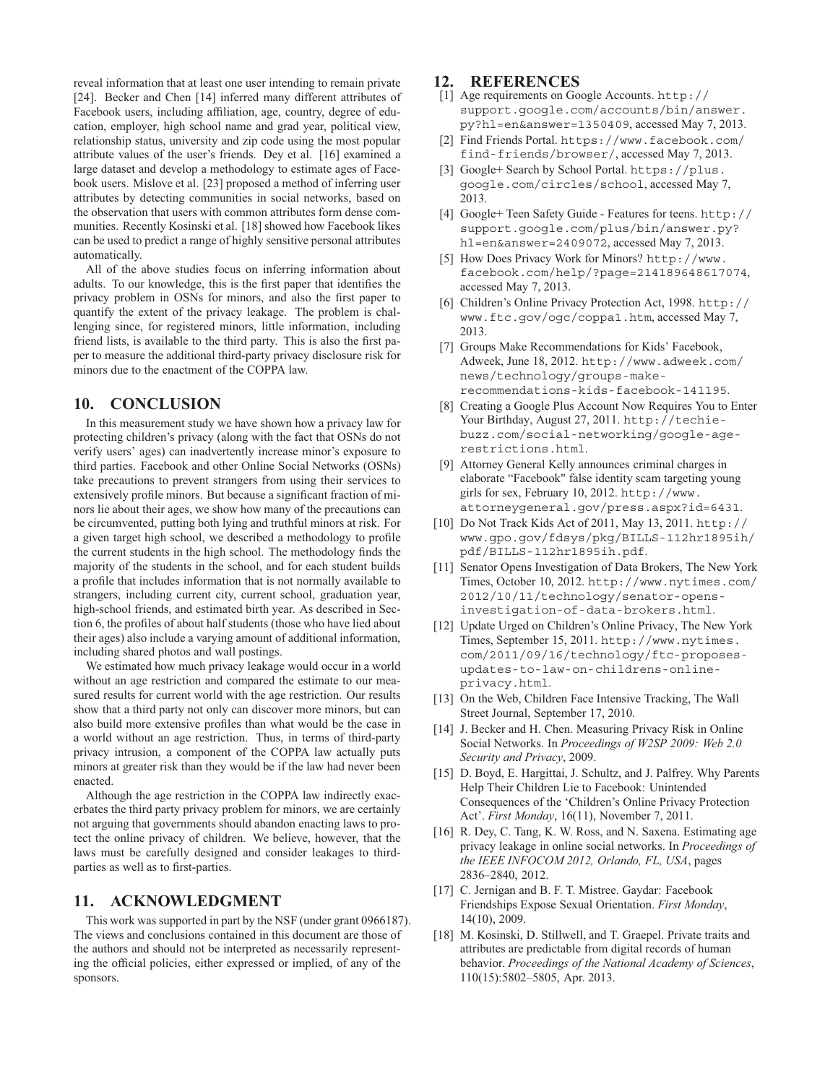reveal information that at least one user intending to remain private [24]. Becker and Chen [14] inferred many different attributes of Facebook users, including affiliation, age, country, degree of education, employer, high school name and grad year, political view, relationship status, university and zip code using the most popular attribute values of the user's friends. Dey et al. [16] examined a large dataset and develop a methodology to estimate ages of Facebook users. Mislove et al. [23] proposed a method of inferring user attributes by detecting communities in social networks, based on the observation that users with common attributes form dense communities. Recently Kosinski et al. [18] showed how Facebook likes can be used to predict a range of highly sensitive personal attributes automatically.

All of the above studies focus on inferring information about adults. To our knowledge, this is the first paper that identifies the privacy problem in OSNs for minors, and also the first paper to quantify the extent of the privacy leakage. The problem is challenging since, for registered minors, little information, including friend lists, is available to the third party. This is also the first paper to measure the additional third-party privacy disclosure risk for minors due to the enactment of the COPPA law.

# **10. CONCLUSION**

In this measurement study we have shown how a privacy law for protecting children's privacy (along with the fact that OSNs do not verify users' ages) can inadvertently increase minor's exposure to third parties. Facebook and other Online Social Networks (OSNs) take precautions to prevent strangers from using their services to extensively profile minors. But because a significant fraction of minors lie about their ages, we show how many of the precautions can be circumvented, putting both lying and truthful minors at risk. For a given target high school, we described a methodology to profile the current students in the high school. The methodology finds the majority of the students in the school, and for each student builds a profile that includes information that is not normally available to strangers, including current city, current school, graduation year, high-school friends, and estimated birth year. As described in Section 6, the profiles of about half students (those who have lied about their ages) also include a varying amount of additional information, including shared photos and wall postings.

We estimated how much privacy leakage would occur in a world without an age restriction and compared the estimate to our measured results for current world with the age restriction. Our results show that a third party not only can discover more minors, but can also build more extensive profiles than what would be the case in a world without an age restriction. Thus, in terms of third-party privacy intrusion, a component of the COPPA law actually puts minors at greater risk than they would be if the law had never been enacted.

Although the age restriction in the COPPA law indirectly exacerbates the third party privacy problem for minors, we are certainly not arguing that governments should abandon enacting laws to protect the online privacy of children. We believe, however, that the laws must be carefully designed and consider leakages to thirdparties as well as to first-parties.

## **11. ACKNOWLEDGMENT**

This work was supported in part by the NSF (under grant 0966187). The views and conclusions contained in this document are those of the authors and should not be interpreted as necessarily representing the official policies, either expressed or implied, of any of the sponsors.

# **12. REFERENCES**

- [1] Age requirements on Google Accounts. http:// support.google.com/accounts/bin/answer. py?hl=en&answer=1350409, accessed May 7, 2013.
- [2] Find Friends Portal. https://www.facebook.com/ find-friends/browser/, accessed May 7, 2013.
- [3] Google+ Search by School Portal. https://plus. google.com/circles/school, accessed May 7, 2013.
- [4] Google+ Teen Safety Guide Features for teens. http:// support.google.com/plus/bin/answer.py? hl=en&answer=2409072, accessed May 7, 2013.
- [5] How Does Privacy Work for Minors? http://www. facebook.com/help/?page=214189648617074, accessed May 7, 2013.
- [6] Children's Online Privacy Protection Act, 1998. http:// www.ftc.gov/ogc/coppa1.htm, accessed May 7, 2013.
- [7] Groups Make Recommendations for Kids' Facebook, Adweek, June 18, 2012. http://www.adweek.com/ news/technology/groups-makerecommendations-kids-facebook-141195.
- [8] Creating a Google Plus Account Now Requires You to Enter Your Birthday, August 27, 2011. http://techiebuzz.com/social-networking/google-agerestrictions.html.
- [9] Attorney General Kelly announces criminal charges in elaborate "Facebook" false identity scam targeting young girls for sex, February 10, 2012. http://www. attorneygeneral.gov/press.aspx?id=6431.
- [10] Do Not Track Kids Act of 2011, May 13, 2011. http:// www.gpo.gov/fdsys/pkg/BILLS-112hr1895ih/ pdf/BILLS-112hr1895ih.pdf.
- [11] Senator Opens Investigation of Data Brokers, The New York Times, October 10, 2012. http://www.nytimes.com/ 2012/10/11/technology/senator-opensinvestigation-of-data-brokers.html.
- [12] Update Urged on Children's Online Privacy, The New York Times, September 15, 2011. http://www.nytimes. com/2011/09/16/technology/ftc-proposesupdates-to-law-on-childrens-onlineprivacy.html.
- [13] On the Web, Children Face Intensive Tracking, The Wall Street Journal, September 17, 2010.
- [14] J. Becker and H. Chen. Measuring Privacy Risk in Online Social Networks. In *Proceedings of W2SP 2009: Web 2.0 Security and Privacy*, 2009.
- [15] D. Boyd, E. Hargittai, J. Schultz, and J. Palfrey. Why Parents Help Their Children Lie to Facebook: Unintended Consequences of the 'Children's Online Privacy Protection Act'. *First Monday*, 16(11), November 7, 2011.
- [16] R. Dey, C. Tang, K. W. Ross, and N. Saxena. Estimating age privacy leakage in online social networks. In *Proceedings of the IEEE INFOCOM 2012, Orlando, FL, USA*, pages 2836–2840, 2012.
- [17] C. Jernigan and B. F. T. Mistree. Gaydar: Facebook Friendships Expose Sexual Orientation. *First Monday*, 14(10), 2009.
- [18] M. Kosinski, D. Stillwell, and T. Graepel. Private traits and attributes are predictable from digital records of human behavior. *Proceedings of the National Academy of Sciences*, 110(15):5802–5805, Apr. 2013.